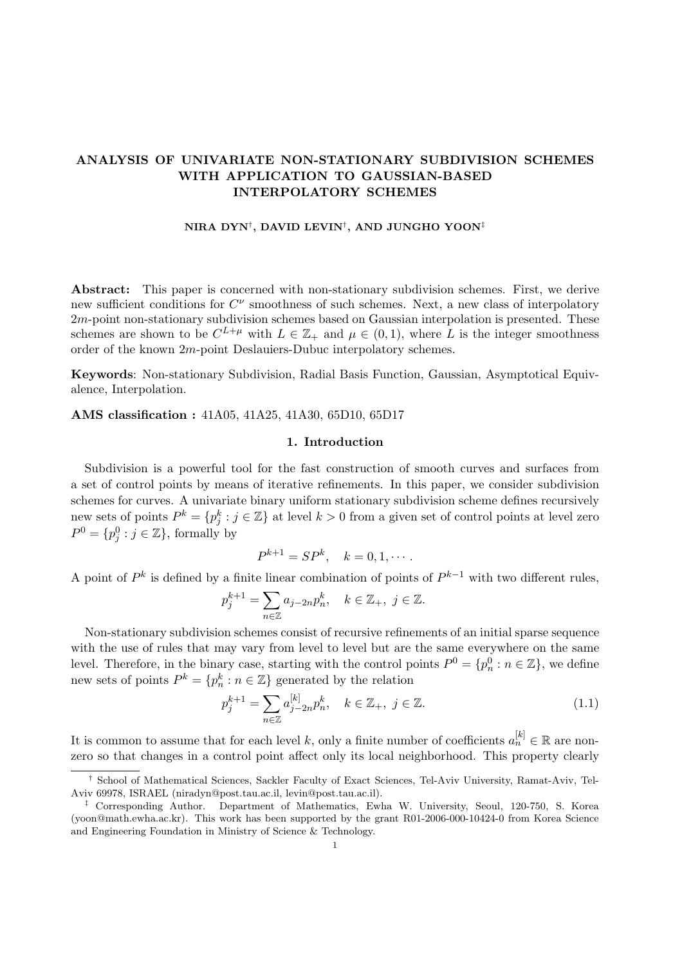## ANALYSIS OF UNIVARIATE NON-STATIONARY SUBDIVISION SCHEMES WITH APPLICATION TO GAUSSIAN-BASED INTERPOLATORY SCHEMES

### NIRA DYN $^\dagger,$  DAVID LEVIN $^\dagger,$  AND JUNGHO YOON $^\ddagger$

Abstract: This paper is concerned with non-stationary subdivision schemes. First, we derive new sufficient conditions for  $C^{\nu}$  smoothness of such schemes. Next, a new class of interpolatory 2m-point non-stationary subdivision schemes based on Gaussian interpolation is presented. These schemes are shown to be  $C^{L+\mu}$  with  $L \in \mathbb{Z}_+$  and  $\mu \in (0,1)$ , where L is the integer smoothness order of the known 2m-point Deslauiers-Dubuc interpolatory schemes.

Keywords: Non-stationary Subdivision, Radial Basis Function, Gaussian, Asymptotical Equivalence, Interpolation.

## AMS classification : 41A05, 41A25, 41A30, 65D10, 65D17

#### 1. Introduction

Subdivision is a powerful tool for the fast construction of smooth curves and surfaces from a set of control points by means of iterative refinements. In this paper, we consider subdivision schemes for curves. A univariate binary uniform stationary subdivision scheme defines recursively new sets of points  $P^k = \{p_j^k : j \in \mathbb{Z}\}\$ at level  $k > 0$  from a given set of control points at level zero  $P^0 = \{p_j^0 : j \in \mathbb{Z}\}\,$  formally by

$$
P^{k+1} = SP^k, \quad k = 0, 1, \cdots.
$$

A point of  $P^k$  is defined by a finite linear combination of points of  $P^{k-1}$  with two different rules,

$$
p_j^{k+1} = \sum_{n \in \mathbb{Z}} a_{j-2n} p_n^k, \quad k \in \mathbb{Z}_+, \ j \in \mathbb{Z}.
$$

Non-stationary subdivision schemes consist of recursive refinements of an initial sparse sequence with the use of rules that may vary from level to level but are the same everywhere on the same level. Therefore, in the binary case, starting with the control points  $P^0 = \{p_n^0 : n \in \mathbb{Z}\}\,$ , we define new sets of points  $P^k = \{p_n^k : n \in \mathbb{Z}\}\$  generated by the relation

$$
p_j^{k+1} = \sum_{n \in \mathbb{Z}} a_{j-2n}^{[k]} p_n^k, \quad k \in \mathbb{Z}_+, \ j \in \mathbb{Z}.
$$
 (1.1)

It is common to assume that for each level k, only a finite number of coefficients  $a_n^{[k]} \in \mathbb{R}$  are nonzero so that changes in a control point affect only its local neighborhood. This property clearly

<sup>†</sup> School of Mathematical Sciences, Sackler Faculty of Exact Sciences, Tel-Aviv University, Ramat-Aviv, Tel-Aviv 69978, ISRAEL (niradyn@post.tau.ac.il, levin@post.tau.ac.il).

<sup>‡</sup> Corresponding Author. Department of Mathematics, Ewha W. University, Seoul, 120-750, S. Korea (yoon@math.ewha.ac.kr). This work has been supported by the grant R01-2006-000-10424-0 from Korea Science and Engineering Foundation in Ministry of Science & Technology.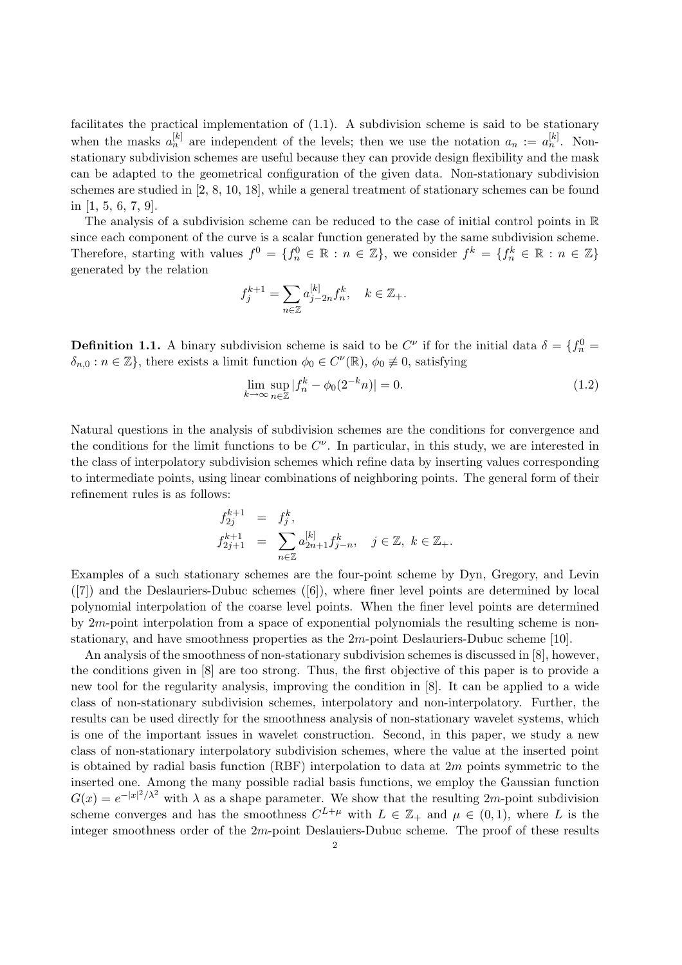facilitates the practical implementation of (1.1). A subdivision scheme is said to be stationary when the masks  $a_n^{[k]}$  are independent of the levels; then we use the notation  $a_n := a_n^{[k]}$ . Nonstationary subdivision schemes are useful because they can provide design flexibility and the mask can be adapted to the geometrical configuration of the given data. Non-stationary subdivision schemes are studied in [2, 8, 10, 18], while a general treatment of stationary schemes can be found in [1, 5, 6, 7, 9].

The analysis of a subdivision scheme can be reduced to the case of initial control points in R since each component of the curve is a scalar function generated by the same subdivision scheme. Therefore, starting with values  $f^0 = \{f_n^0 \in \mathbb{R} : n \in \mathbb{Z}\}$ , we consider  $f^k = \{f_n^k \in \mathbb{R} : n \in \mathbb{Z}\}\$ generated by the relation

$$
f_j^{k+1} = \sum_{n \in \mathbb{Z}} a_{j-2n}^{[k]} f_n^k, \quad k \in \mathbb{Z}_+.
$$

**Definition 1.1.** A binary subdivision scheme is said to be  $C^{\nu}$  if for the initial data  $\delta = \{f_n^0 =$  $\delta_{n,0}: n \in \mathbb{Z}$ , there exists a limit function  $\phi_0 \in C^{\nu}(\mathbb{R}), \phi_0 \neq 0$ , satisfying

$$
\lim_{k \to \infty} \sup_{n \in \mathbb{Z}} |f_n^k - \phi_0(2^{-k}n)| = 0.
$$
\n(1.2)

Natural questions in the analysis of subdivision schemes are the conditions for convergence and the conditions for the limit functions to be  $C^{\nu}$ . In particular, in this study, we are interested in the class of interpolatory subdivision schemes which refine data by inserting values corresponding to intermediate points, using linear combinations of neighboring points. The general form of their refinement rules is as follows:

$$
f_{2j}^{k+1} = f_j^k,
$$
  
\n
$$
f_{2j+1}^{k+1} = \sum_{n \in \mathbb{Z}} a_{2n+1}^{[k]} f_{j-n}^k, \quad j \in \mathbb{Z}, \ k \in \mathbb{Z}_+.
$$

Examples of a such stationary schemes are the four-point scheme by Dyn, Gregory, and Levin ([7]) and the Deslauriers-Dubuc schemes ([6]), where finer level points are determined by local polynomial interpolation of the coarse level points. When the finer level points are determined by  $2m$ -point interpolation from a space of exponential polynomials the resulting scheme is nonstationary, and have smoothness properties as the 2m-point Deslauriers-Dubuc scheme [10].

An analysis of the smoothness of non-stationary subdivision schemes is discussed in [8], however, the conditions given in [8] are too strong. Thus, the first objective of this paper is to provide a new tool for the regularity analysis, improving the condition in [8]. It can be applied to a wide class of non-stationary subdivision schemes, interpolatory and non-interpolatory. Further, the results can be used directly for the smoothness analysis of non-stationary wavelet systems, which is one of the important issues in wavelet construction. Second, in this paper, we study a new class of non-stationary interpolatory subdivision schemes, where the value at the inserted point is obtained by radial basis function  $(RBF)$  interpolation to data at  $2m$  points symmetric to the inserted one. Among the many possible radial basis functions, we employ the Gaussian function  $G(x) = e^{-|x|^2/\lambda^2}$  with  $\lambda$  as a shape parameter. We show that the resulting 2*m*-point subdivision scheme converges and has the smoothness  $C^{L+\mu}$  with  $L \in \mathbb{Z}_+$  and  $\mu \in (0,1)$ , where L is the integer smoothness order of the  $2m$ -point Deslauiers-Dubuc scheme. The proof of these results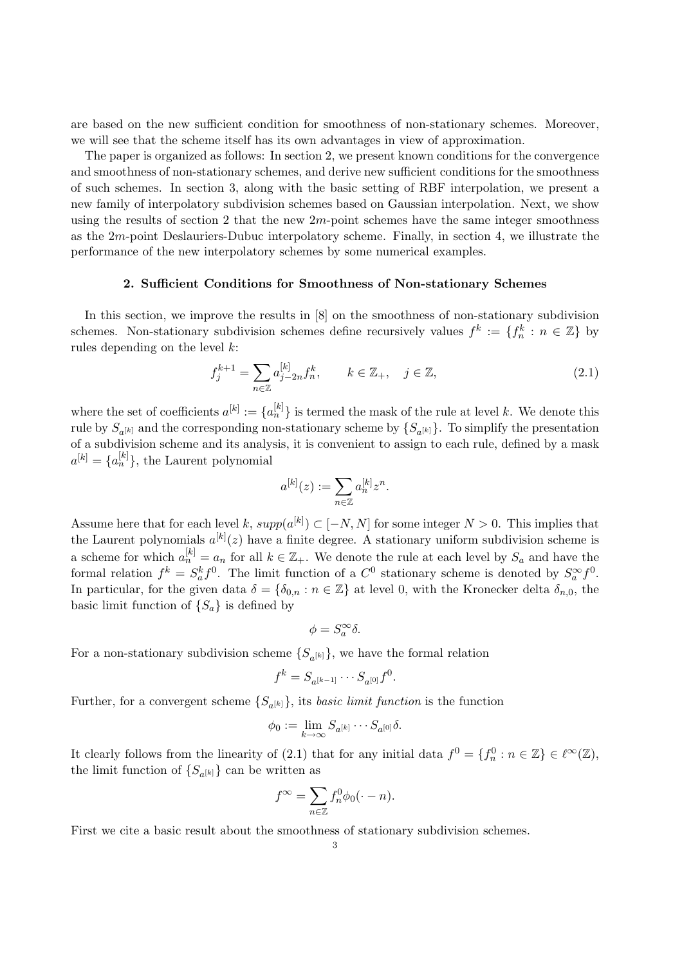are based on the new sufficient condition for smoothness of non-stationary schemes. Moreover, we will see that the scheme itself has its own advantages in view of approximation.

The paper is organized as follows: In section 2, we present known conditions for the convergence and smoothness of non-stationary schemes, and derive new sufficient conditions for the smoothness of such schemes. In section 3, along with the basic setting of RBF interpolation, we present a new family of interpolatory subdivision schemes based on Gaussian interpolation. Next, we show using the results of section 2 that the new  $2m$ -point schemes have the same integer smoothness as the 2m-point Deslauriers-Dubuc interpolatory scheme. Finally, in section 4, we illustrate the performance of the new interpolatory schemes by some numerical examples.

### 2. Sufficient Conditions for Smoothness of Non-stationary Schemes

In this section, we improve the results in [8] on the smoothness of non-stationary subdivision schemes. Non-stationary subdivision schemes define recursively values  $f^k := \{f_n^k : n \in \mathbb{Z}\}\$  by rules depending on the level  $k$ :

$$
f_j^{k+1} = \sum_{n \in \mathbb{Z}} a_{j-2n}^{[k]} f_n^k, \qquad k \in \mathbb{Z}_+, \quad j \in \mathbb{Z},
$$
 (2.1)

where the set of coefficients  $a^{[k]} := \{a_n^{[k]}\}\$ is termed the mask of the rule at level k. We denote this rule by  $S_{a^{[k]}}$  and the corresponding non-stationary scheme by  $\{S_{a^{[k]}}\}$ . To simplify the presentation of a subdivision scheme and its analysis, it is convenient to assign to each rule, defined by a mask  $a^{[k]} = \{a_n^{[k]}\},\$  the Laurent polynomial

$$
a^{[k]}(z) := \sum_{n \in \mathbb{Z}} a_n^{[k]} z^n.
$$

Assume here that for each level k,  $supp(a^{[k]}) \subset [-N, N]$  for some integer  $N > 0$ . This implies that the Laurent polynomials  $a^{[k]}(z)$  have a finite degree. A stationary uniform subdivision scheme is a scheme for which  $a_n^{[k]} = a_n$  for all  $k \in \mathbb{Z}_+$ . We denote the rule at each level by  $S_a$  and have the formal relation  $f^k = S_a^k f^0$ . The limit function of a  $C^0$  stationary scheme is denoted by  $S_a^{\infty} f^0$ . In particular, for the given data  $\delta = {\delta_{0,n} : n \in \mathbb{Z}}$  at level 0, with the Kronecker delta  $\delta_{n,0}$ , the basic limit function of  $\{S_a\}$  is defined by

$$
\phi=S_a^\infty\delta.
$$

For a non-stationary subdivision scheme  $\{S_{a^{[k]}}\}$ , we have the formal relation

$$
f^k = S_{a^{[k-1]}} \cdots S_{a^{[0]}} f^0.
$$

Further, for a convergent scheme  $\{S_{a^{[k]}}\}$ , its *basic limit function* is the function

$$
\phi_0 := \lim_{k \to \infty} S_{a^{[k]}} \cdots S_{a^{[0]}} \delta.
$$

It clearly follows from the linearity of (2.1) that for any initial data  $f^0 = \{f_n^0 : n \in \mathbb{Z}\}\in \ell^{\infty}(\mathbb{Z}),$ the limit function of  $\{S_{a^{[k]}}\}$  can be written as

$$
f^{\infty} = \sum_{n \in \mathbb{Z}} f_n^0 \phi_0(\cdot - n).
$$

First we cite a basic result about the smoothness of stationary subdivision schemes.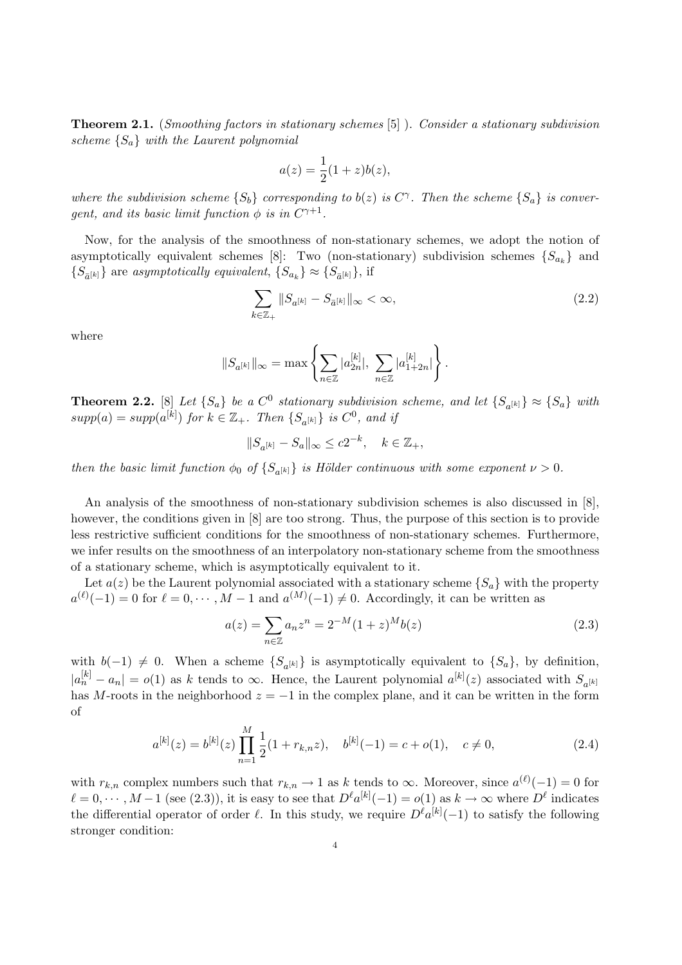**Theorem 2.1.** (Smoothing factors in stationary schemes [5]). Consider a stationary subdivision scheme  $\{S_a\}$  with the Laurent polynomial

$$
a(z) = \frac{1}{2}(1+z)b(z),
$$

where the subdivision scheme  $\{S_b\}$  corresponding to  $b(z)$  is  $C^{\gamma}$ . Then the scheme  $\{S_a\}$  is convergent, and its basic limit function  $\phi$  is in  $C^{\gamma+1}$ .

Now, for the analysis of the smoothness of non-stationary schemes, we adopt the notion of asymptotically equivalent schemes [8]: Two (non-stationary) subdivision schemes  $\{S_{a_k}\}\$  and  $\{S_{\bar{a}^{[k]}}\}$  are asymptotically equivalent,  $\{S_{a_k}\}\approx \{S_{\bar{a}^{[k]}}\}$ , if

$$
\sum_{k \in \mathbb{Z}_+} \|S_{a^{[k]}} - S_{\bar{a}^{[k]}}\|_{\infty} < \infty,
$$
\n(2.2)

where

$$
\|S_{a^{[k]}}\|_{\infty} = \max\left\{\sum_{n\in\mathbb{Z}} |a_{2n}^{[k]}|,\ \sum_{n\in\mathbb{Z}} |a_{1+2n}^{[k]}|\right\}.
$$

**Theorem 2.2.** [8] Let  $\{S_a\}$  be a  $C^0$  stationary subdivision scheme, and let  $\{S_{a^{[k]}}\}\approx \{S_a\}$  with  $supp(a) = supp(a^{[k]})$  for  $k \in \mathbb{Z}_+$ . Then  $\{S_{a^{[k]}}\}$  is  $C^0$ , and if

$$
||S_{a^{[k]}} - S_a||_{\infty} \le c2^{-k}, \quad k \in \mathbb{Z}_+,
$$

then the basic limit function  $\phi_0$  of  $\{S_{a^{[k]}}\}$  is Hölder continuous with some exponent  $\nu > 0$ .

An analysis of the smoothness of non-stationary subdivision schemes is also discussed in [8], however, the conditions given in [8] are too strong. Thus, the purpose of this section is to provide less restrictive sufficient conditions for the smoothness of non-stationary schemes. Furthermore, we infer results on the smoothness of an interpolatory non-stationary scheme from the smoothness of a stationary scheme, which is asymptotically equivalent to it.

Let  $a(z)$  be the Laurent polynomial associated with a stationary scheme  $\{S_a\}$  with the property  $a^{(\ell)}(-1) = 0$  for  $\ell = 0, \dots, M-1$  and  $a^{(M)}(-1) \neq 0$ . Accordingly, it can be written as

$$
a(z) = \sum_{n \in \mathbb{Z}} a_n z^n = 2^{-M} (1+z)^M b(z)
$$
\n(2.3)

with  $b(-1) \neq 0$ . When a scheme  ${S_{a^{[k]}} }$  is asymptotically equivalent to  ${S_a }$ , by definition,  $|a_n^{[k]} - a_n| = o(1)$  as k tends to  $\infty$ . Hence, the Laurent polynomial  $a^{[k]}(z)$  associated with  $S_{a^{[k]}}$ has M-roots in the neighborhood  $z = -1$  in the complex plane, and it can be written in the form of

$$
a^{[k]}(z) = b^{[k]}(z) \prod_{n=1}^{M} \frac{1}{2} (1 + r_{k,n} z), \quad b^{[k]}(-1) = c + o(1), \quad c \neq 0,
$$
\n(2.4)

with  $r_{k,n}$  complex numbers such that  $r_{k,n} \to 1$  as k tends to  $\infty$ . Moreover, since  $a^{(\ell)}(-1) = 0$  for  $\ell = 0, \dots, M-1$  (see (2.3)), it is easy to see that  $D^{\ell}a^{[k]}(-1) = o(1)$  as  $k \to \infty$  where  $D^{\ell}$  indicates the differential operator of order  $\ell$ . In this study, we require  $D^{\ell}a^{[k]}(-1)$  to satisfy the following stronger condition: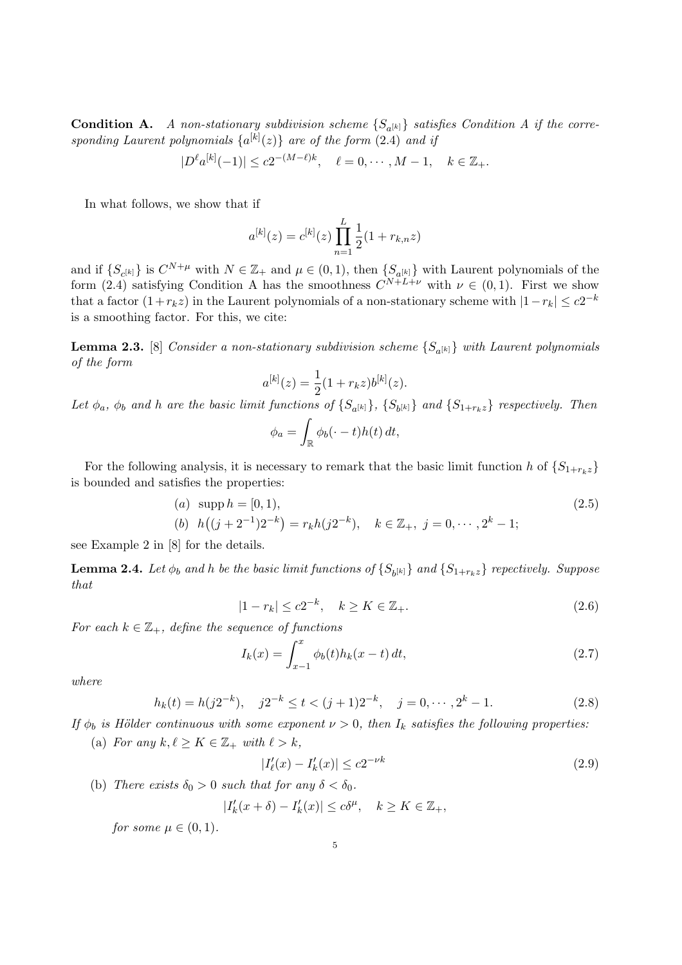**Condition A.** A non-stationary subdivision scheme  $\{S_{a^{[k]}}\}$  satisfies Condition A if the corresponding Laurent polynomials  $\{a^{[k]}(z)\}\$ are of the form  $(2.4)$  and if

$$
|D^{\ell}a^{[k]}(-1)| \le c2^{-(M-\ell)k}, \quad \ell = 0, \cdots, M-1, \quad k \in \mathbb{Z}_{+}.
$$

In what follows, we show that if

$$
a^{[k]}(z) = c^{[k]}(z) \prod_{n=1}^{L} \frac{1}{2} (1 + r_{k,n} z)
$$

and if  $\{S_{c^{[k]}}\}$  is  $C^{N+\mu}$  with  $N \in \mathbb{Z}_+$  and  $\mu \in (0,1)$ , then  $\{S_{a^{[k]}}\}$  with Laurent polynomials of the form (2.4) satisfying Condition A has the smoothness  $C^{N+L+\nu}$  with  $\nu \in (0,1)$ . First we show that a factor  $(1+r_k z)$  in the Laurent polynomials of a non-stationary scheme with  $|1-r_k| \leq c2^{-k}$ is a smoothing factor. For this, we cite:

**Lemma 2.3.** [8] Consider a non-stationary subdivision scheme  $\{S_{a^{[k]}}\}$  with Laurent polynomials of the form

$$
a^{[k]}(z) = \frac{1}{2}(1 + r_k z)b^{[k]}(z).
$$

Let  $\phi_a$ ,  $\phi_b$  and h are the basic limit functions of  $\{S_{a^{[k]}}\}$ ,  $\{S_{b^{[k]}}\}$  and  $\{S_{1+r_kz}\}$  respectively. Then

$$
\phi_a = \int_{\mathbb{R}} \phi_b(\cdot - t) h(t) dt,
$$

For the following analysis, it is necessary to remark that the basic limit function h of  $\{S_{1+r_kz}\}\$ is bounded and satisfies the properties:

(a) supp 
$$
h = [0, 1)
$$
,  
\n(b)  $h((j + 2^{-1})2^{-k}) = r_k h(j2^{-k})$ ,  $k \in \mathbb{Z}_+$ ,  $j = 0, \dots, 2^k - 1$ ;  
\n(2.5)

see Example 2 in [8] for the details.

**Lemma 2.4.** Let  $\phi_b$  and h be the basic limit functions of  $\{S_{b^{[k]}}\}$  and  $\{S_{1+r_kz}\}$  repectively. Suppose that

$$
|1 - r_k| \le c2^{-k}, \quad k \ge K \in \mathbb{Z}_+.
$$
\n(2.6)

For each  $k \in \mathbb{Z}_+$ , define the sequence of functions

$$
I_k(x) = \int_{x-1}^x \phi_b(t) h_k(x-t) \, dt,\tag{2.7}
$$

where

$$
h_k(t) = h(j2^{-k}), \quad j2^{-k} \le t < (j+1)2^{-k}, \quad j = 0, \cdots, 2^k - 1. \tag{2.8}
$$

If  $\phi_b$  is Hölder continuous with some exponent  $\nu > 0$ , then  $I_k$  satisfies the following properties:

(a) For any  $k, \ell \geq K \in \mathbb{Z}_+$  with  $\ell > k$ ,

$$
|I'_{\ell}(x) - I'_{k}(x)| \le c2^{-\nu k} \tag{2.9}
$$

(b) There exists  $\delta_0 > 0$  such that for any  $\delta < \delta_0$ .

$$
|I'_k(x+\delta)-I'_k(x)|\leq c\delta^{\mu},\quad k\geq K\in\mathbb{Z}_+,
$$

for some  $\mu \in (0,1)$ .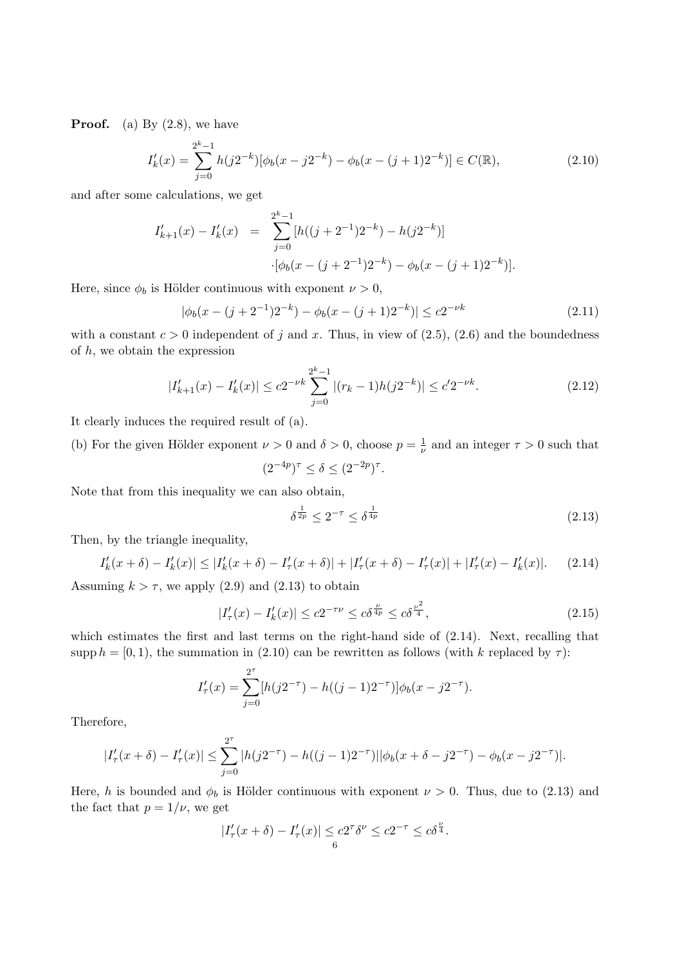**Proof.** (a) By  $(2.8)$ , we have

$$
I'_k(x) = \sum_{j=0}^{2^k - 1} h(j2^{-k}) [\phi_b(x - j2^{-k}) - \phi_b(x - (j+1)2^{-k})] \in C(\mathbb{R}),
$$
\n(2.10)

and after some calculations, we get

$$
I'_{k+1}(x) - I'_{k}(x) = \sum_{j=0}^{2^{k}-1} [h((j+2^{-1})2^{-k}) - h(j2^{-k})]
$$

$$
\cdot [\phi_{b}(x - (j+2^{-1})2^{-k}) - \phi_{b}(x - (j+1)2^{-k})].
$$

Here, since  $\phi_b$  is Hölder continuous with exponent  $\nu > 0$ ,

$$
|\phi_b(x - (j + 2^{-1})2^{-k}) - \phi_b(x - (j + 1)2^{-k})| \le c2^{-\nu k}
$$
\n(2.11)

with a constant  $c > 0$  independent of j and x. Thus, in view of (2.5), (2.6) and the boundedness of  $h$ , we obtain the expression

$$
|I'_{k+1}(x) - I'_k(x)| \le c2^{-\nu k} \sum_{j=0}^{2^k - 1} |(r_k - 1)h(j2^{-k})| \le c' 2^{-\nu k}.
$$
 (2.12)

It clearly induces the required result of (a).

(b) For the given Hölder exponent  $\nu > 0$  and  $\delta > 0$ , choose  $p = \frac{1}{\nu}$  $\frac{1}{\nu}$  and an integer  $\tau > 0$  such that

$$
(2^{-4p})^{\tau} \le \delta \le (2^{-2p})^{\tau}.
$$

Note that from this inequality we can also obtain,

$$
\delta^{\frac{1}{2p}} \le 2^{-\tau} \le \delta^{\frac{1}{4p}} \tag{2.13}
$$

Then, by the triangle inequality,

$$
I'_k(x+\delta) - I'_k(x)| \le |I'_k(x+\delta) - I'_\tau(x+\delta)| + |I'_\tau(x+\delta) - I'_\tau(x)| + |I'_\tau(x) - I'_k(x)|. \tag{2.14}
$$

Assuming  $k > \tau$ , we apply (2.9) and (2.13) to obtain

$$
|I'_{\tau}(x) - I'_{k}(x)| \le c2^{-\tau\nu} \le c\delta^{\frac{\nu}{4p}} \le c\delta^{\frac{\nu^{2}}{4}},
$$
\n(2.15)

which estimates the first and last terms on the right-hand side of (2.14). Next, recalling that supp  $h = [0, 1)$ , the summation in (2.10) can be rewritten as follows (with k replaced by  $\tau$ ):

$$
I'_{\tau}(x) = \sum_{j=0}^{2^{\tau}} [h(j2^{-\tau}) - h((j-1)2^{-\tau})] \phi_b(x - j2^{-\tau}).
$$

Therefore,

$$
|I'_{\tau}(x+\delta) - I'_{\tau}(x)| \leq \sum_{j=0}^{2^{\tau}} |h(j2^{-\tau}) - h((j-1)2^{-\tau})| |\phi_b(x+\delta - j2^{-\tau}) - \phi_b(x-j2^{-\tau})|.
$$

Here, h is bounded and  $\phi_b$  is Hölder continuous with exponent  $\nu > 0$ . Thus, due to (2.13) and the fact that  $p = 1/\nu$ , we get

$$
|I'_{\tau}(x+\delta) - I'_{\tau}(x)| \leq c2^{\tau} \delta^{\nu} \leq c2^{-\tau} \leq c\delta^{\frac{\nu}{4}}.
$$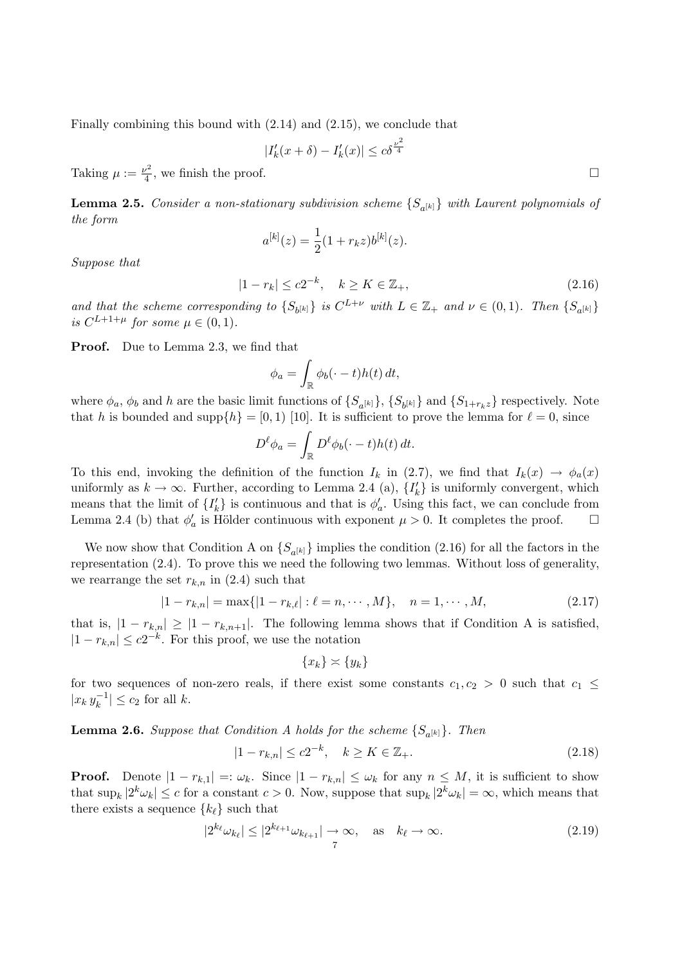Finally combining this bound with (2.14) and (2.15), we conclude that

$$
|I'_k(x+\delta) - I'_k(x)| \le c\delta^{\frac{\nu^2}{4}}
$$

Taking  $\mu := \frac{\nu^2}{4}$  $\frac{1}{4}$ , we finish the proof.

**Lemma 2.5.** Consider a non-stationary subdivision scheme  $\{S_{a^{[k]}}\}$  with Laurent polynomials of the form

$$
a^{[k]}(z) = \frac{1}{2}(1 + r_k z)b^{[k]}(z).
$$

Suppose that

$$
|1 - r_k| \le c2^{-k}, \quad k \ge K \in \mathbb{Z}_+, \tag{2.16}
$$

and that the scheme corresponding to  $\{S_{b^{[k]}}\}$  is  $C^{L+\nu}$  with  $L \in \mathbb{Z}_+$  and  $\nu \in (0,1)$ . Then  $\{S_{a^{[k]}}\}$ is  $C^{L+1+\mu}$  for some  $\mu \in (0,1)$ .

**Proof.** Due to Lemma 2.3, we find that

$$
\phi_a = \int_{\mathbb{R}} \phi_b(\cdot - t) h(t) dt,
$$

where  $\phi_a$ ,  $\phi_b$  and h are the basic limit functions of  $\{S_{a^{[k]}}\}$ ,  $\{S_{b^{[k]}}\}$  and  $\{S_{1+r_kz}\}$  respectively. Note that h is bounded and supp $\{h\} = [0, 1)$  [10]. It is sufficient to prove the lemma for  $\ell = 0$ , since

$$
D^{\ell}\phi_a = \int_{\mathbb{R}} D^{\ell}\phi_b(\cdot - t)h(t) dt.
$$

To this end, invoking the definition of the function  $I_k$  in (2.7), we find that  $I_k(x) \to \phi_a(x)$ uniformly as  $k \to \infty$ . Further, according to Lemma 2.4 (a),  $\{I_k'\}$  is uniformly convergent, which means that the limit of  $\{I_k'\}$  is continuous and that is  $\phi'_a$ . Using this fact, we can conclude from Lemma 2.4 (b) that  $\phi'_a$  is Hölder continuous with exponent  $\mu > 0$ . It completes the proof.  $\Box$ 

We now show that Condition A on  $\{S_{a^{[k]}}\}$  implies the condition (2.16) for all the factors in the representation (2.4). To prove this we need the following two lemmas. Without loss of generality, we rearrange the set  $r_{k,n}$  in (2.4) such that

$$
|1 - r_{k,n}| = \max\{|1 - r_{k,\ell}| : \ell = n, \cdots, M\}, \quad n = 1, \cdots, M,
$$
\n(2.17)

that is,  $|1 - r_{k,n}| \geq |1 - r_{k,n+1}|$ . The following lemma shows that if Condition A is satisfied,  $|1 - r_{k,n}| \leq c2^{-k}$ . For this proof, we use the notation

$$
\{x_k\} \asymp \{y_k\}
$$

for two sequences of non-zero reals, if there exist some constants  $c_1, c_2 > 0$  such that  $c_1 \leq$  $|x_k y_k^{-1}$  $|k^{-1}| \leq c_2$  for all k.

**Lemma 2.6.** Suppose that Condition A holds for the scheme  $\{S_{a^{[k]}}\}$ . Then

$$
|1 - r_{k,n}| \le c2^{-k}, \quad k \ge K \in \mathbb{Z}_+.
$$
\n(2.18)

**Proof.** Denote  $|1 - r_{k,1}| =: \omega_k$ . Since  $|1 - r_{k,n}| \leq \omega_k$  for any  $n \leq M$ , it is sufficient to show that  $\sup_k |2^k \omega_k| \leq c$  for a constant  $c > 0$ . Now, suppose that  $\sup_k |2^k \omega_k| = \infty$ , which means that there exists a sequence  $\{k_{\ell}\}\$  such that

$$
|2^{k_{\ell}}\omega_{k_{\ell}}| \le |2^{k_{\ell+1}}\omega_{k_{\ell+1}}| \to \infty, \quad \text{as} \quad k_{\ell} \to \infty.
$$
 (2.19)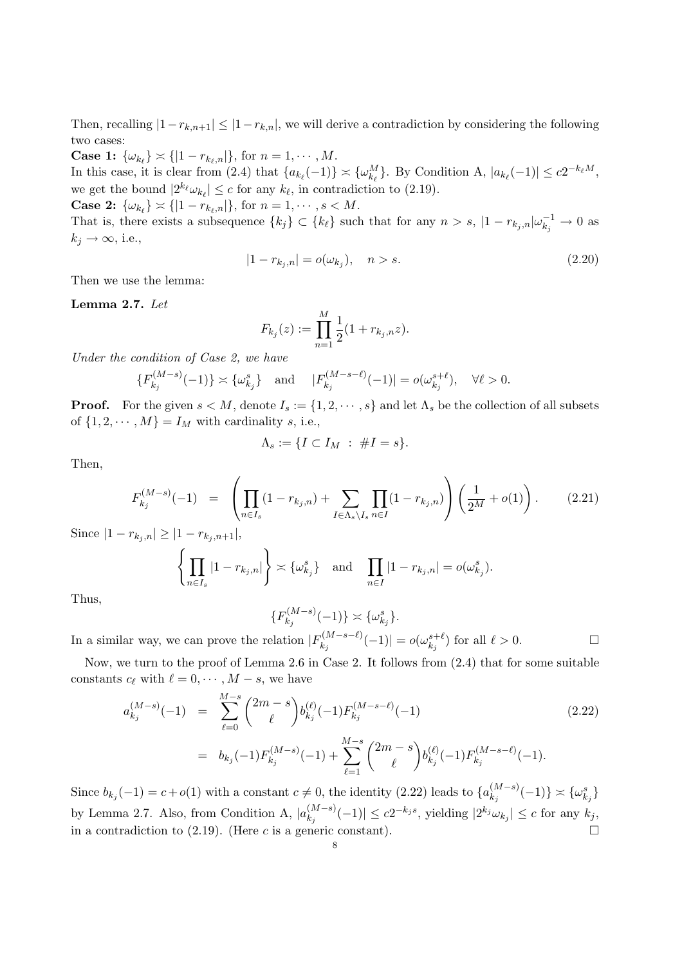Then, recalling  $|1-r_{k,n+1}| \leq |1-r_{k,n}|$ , we will derive a contradiction by considering the following two cases:

**Case 1:**  $\{\omega_{k_{\ell}}\} \asymp \{|1 - r_{k_{\ell},n}|\},$  for  $n = 1, \cdots, M$ .

In this case, it is clear from (2.4) that  $\{a_{k_\ell}(-1)\} \asymp \{\omega_{k_\ell}^M\}$ . By Condition A,  $|a_{k_\ell}(-1)| \le c2^{-k_\ell M}$ , we get the bound  $|2^{k_\ell}\omega_{k_\ell}|\leq c$  for any  $k_\ell$ , in contradiction to (2.19).

**Case 2:**  $\{\omega_{k_{\ell}}\} \asymp \{|1 - r_{k_{\ell},n}|\}$ , for  $n = 1, \dots, s < M$ .

That is, there exists a subsequence  $\{k_j\} \subset \{k_\ell\}$  such that for any  $n > s$ ,  $|1 - r_{k_j,n}| \omega_{k_j}^{-1} \to 0$  as  $k_j \rightarrow \infty$ , i.e.,

$$
|1 - r_{k_j, n}| = o(\omega_{k_j}), \quad n > s.
$$
\n(2.20)

Then we use the lemma:

Lemma 2.7. Let

$$
F_{k_j}(z) := \prod_{n=1}^{M} \frac{1}{2} (1 + r_{k_j, n} z).
$$

Under the condition of Case 2, we have

$$
\{F_{k_j}^{(M-s)}(-1)\} \asymp \{\omega_{k_j}^s\} \quad \text{and} \quad |F_{k_j}^{(M-s-\ell)}(-1)| = o(\omega_{k_j}^{s+\ell}), \quad \forall \ell > 0.
$$

**Proof.** For the given  $s < M$ , denote  $I_s := \{1, 2, \dots, s\}$  and let  $\Lambda_s$  be the collection of all subsets of  $\{1, 2, \dots, M\} = I_M$  with cardinality s, i.e.,

$$
\Lambda_s := \{I \subset I_M \; : \; \#I = s\}.
$$

Then,

$$
F_{k_j}^{(M-s)}(-1) = \left(\prod_{n \in I_s} (1 - r_{k_j,n}) + \sum_{I \in \Lambda_s \setminus I_s} \prod_{n \in I} (1 - r_{k_j,n})\right) \left(\frac{1}{2^M} + o(1)\right). \tag{2.21}
$$

Since  $|1 - r_{k_j,n}| \geq |1 - r_{k_j,n+1}|,$ 

$$
\left\{\prod_{n\in I_s}|1-r_{k_j,n}|\right\} \asymp \{\omega_{k_j}^s\} \quad \text{and} \quad \prod_{n\in I}|1-r_{k_j,n}| = o(\omega_{k_j}^s).
$$

Thus,

$$
\{F_{k_j}^{(M-s)}(-1)\} \asymp \{\omega_{k_j}^s\}.
$$

In a similar way, we can prove the relation  $|F_k^{(M-s-\ell)}|$  $\left| \begin{smallmatrix} (M-s-\ell) \ k_j \end{smallmatrix} \right| (-1) |= o(\omega_{k_j}^{s+\ell})$  $\binom{s+\ell}{k_j}$  for all  $\ell > 0$ .

Now, we turn to the proof of Lemma 2.6 in Case 2. It follows from  $(2.4)$  that for some suitable constants  $c_{\ell}$  with  $\ell = 0, \cdots, M - s$ , we have

$$
a_{k_j}^{(M-s)}(-1) = \sum_{\ell=0}^{M-s} {2m-s \choose \ell} b_{k_j}^{(\ell)}(-1) F_{k_j}^{(M-s-\ell)}(-1)
$$
\n
$$
= b_{k_j}(-1) F_{k_j}^{(M-s)}(-1) + \sum_{\ell=1}^{M-s} {2m-s \choose \ell} b_{k_j}^{(\ell)}(-1) F_{k_j}^{(M-s-\ell)}(-1).
$$
\n(2.22)

Since  $b_{k_j}(-1) = c + o(1)$  with a constant  $c \neq 0$ , the identity (2.22) leads to  $\{a_{k_j}^{(M-s)}\}$  $\{ \omega^{(M-s)}_{k_j}(-1) \} \asymp \{ \omega^s_{k_j} \}$ by Lemma 2.7. Also, from Condition A,  $|a_k^{(M-s)}|$  $\left| \binom{(M-s)}{k_j} (-1) \right| \le c2^{-k_j s}$ , yielding  $|2^{k_j} \omega_{k_j}| \le c$  for any  $k_j$ , in a contradiction to  $(2.19)$ . (Here c is a generic constant).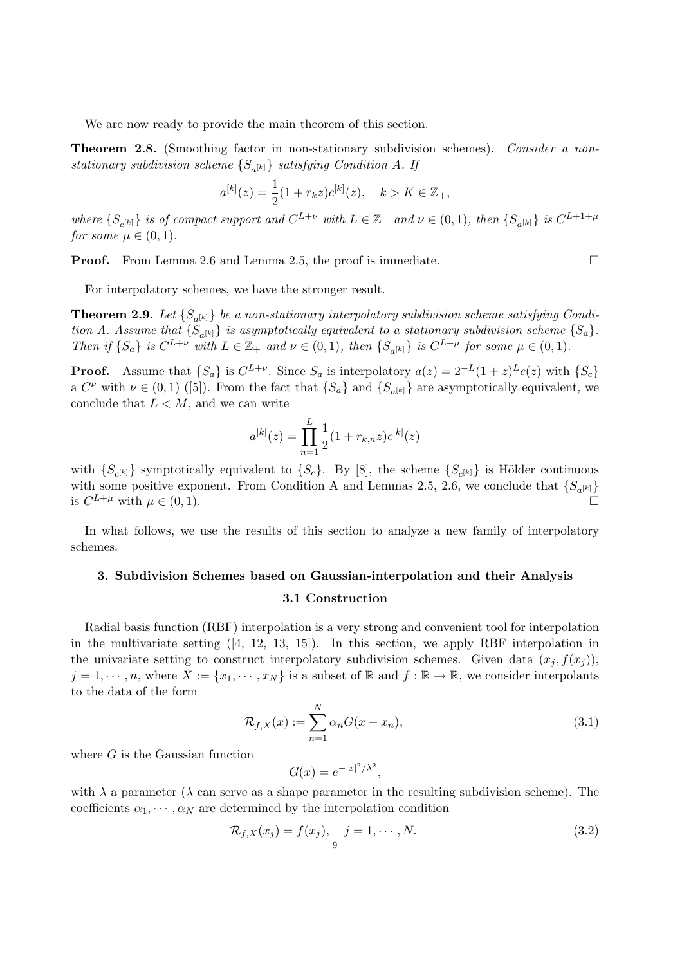We are now ready to provide the main theorem of this section.

Theorem 2.8. (Smoothing factor in non-stationary subdivision schemes). Consider a nonstationary subdivision scheme  $\{S_{a^{[k]}}\}$  satisfying Condition A. If

$$
a^{[k]}(z) = \frac{1}{2}(1 + r_k z)c^{[k]}(z), \quad k > K \in \mathbb{Z}_+,
$$

where  $\{S_{c^{[k]}}\}$  is of compact support and  $C^{L+\nu}$  with  $L \in \mathbb{Z}_+$  and  $\nu \in (0,1)$ , then  $\{S_{a^{[k]}}\}$  is  $C^{L+1+\mu}$ for some  $\mu \in (0,1)$ .

**Proof.** From Lemma 2.6 and Lemma 2.5, the proof is immediate. □

For interpolatory schemes, we have the stronger result.

**Theorem 2.9.** Let  $\{S_{a^{[k]}}\}$  be a non-stationary interpolatory subdivision scheme satisfying Condition A. Assume that  $\{S_{a^{[k]}}\}$  is asymptotically equivalent to a stationary subdivision scheme  $\{S_a\}$ . Then if  $\{S_a\}$  is  $C^{L+\nu}$  with  $L \in \mathbb{Z}_+$  and  $\nu \in (0,1)$ , then  $\{S_{a^{[k]}}\}$  is  $C^{L+\mu}$  for some  $\mu \in (0,1)$ .

**Proof.** Assume that  $\{S_a\}$  is  $C^{L+\nu}$ . Since  $S_a$  is interpolatory  $a(z) = 2^{-L}(1+z)^L c(z)$  with  $\{S_c\}$ a  $C^{\nu}$  with  $\nu \in (0,1)$  ([5]). From the fact that  $\{S_a\}$  and  $\{S_{a^{[k]}}\}$  are asymptotically equivalent, we conclude that  $L < M$ , and we can write

$$
a^{[k]}(z) = \prod_{n=1}^{L} \frac{1}{2} (1 + r_{k,n} z) c^{[k]}(z)
$$

with  $\{S_{c^{[k]}}\}$  symptotically equivalent to  $\{S_c\}$ . By [8], the scheme  $\{S_{c^{[k]}}\}$  is Hölder continuous with some positive exponent. From Condition A and Lemmas 2.5, 2.6, we conclude that  $\{S_{a^{[k]}}\}$ is  $C^{L+\mu}$  with  $\mu \in (0,1)$ .

In what follows, we use the results of this section to analyze a new family of interpolatory schemes.

# 3. Subdivision Schemes based on Gaussian-interpolation and their Analysis

## 3.1 Construction

Radial basis function (RBF) interpolation is a very strong and convenient tool for interpolation in the multivariate setting ([4, 12, 13, 15]). In this section, we apply RBF interpolation in the univariate setting to construct interpolatory subdivision schemes. Given data  $(x_i, f(x_i))$ ,  $j = 1, \dots, n$ , where  $X := \{x_1, \dots, x_N\}$  is a subset of R and  $f : \mathbb{R} \to \mathbb{R}$ , we consider interpolants to the data of the form

$$
\mathcal{R}_{f,X}(x) := \sum_{n=1}^{N} \alpha_n G(x - x_n),
$$
\n(3.1)

where  $G$  is the Gaussian function

$$
G(x) = e^{-|x|^2/\lambda^2},
$$

with  $\lambda$  a parameter ( $\lambda$  can serve as a shape parameter in the resulting subdivision scheme). The coefficients  $\alpha_1, \cdots, \alpha_N$  are determined by the interpolation condition

$$
\mathcal{R}_{f,X}(x_j) = f(x_j), \quad j = 1, \cdots, N. \tag{3.2}
$$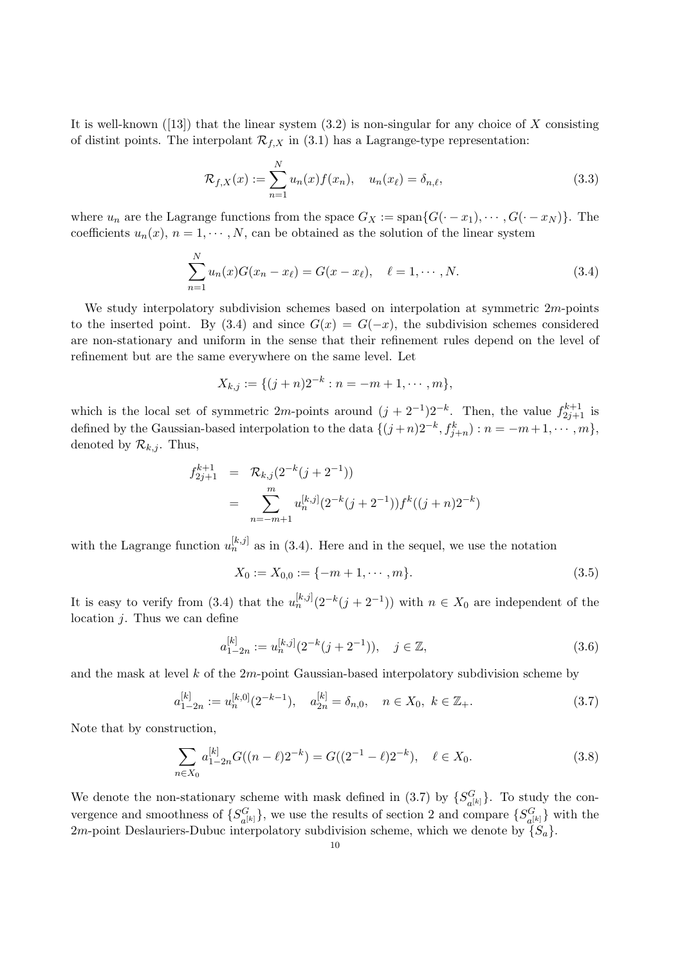It is well-known  $(13)$  that the linear system  $(3.2)$  is non-singular for any choice of X consisting of distint points. The interpolant  $\mathcal{R}_{f,X}$  in (3.1) has a Lagrange-type representation:

$$
\mathcal{R}_{f,X}(x) := \sum_{n=1}^{N} u_n(x) f(x_n), \quad u_n(x_\ell) = \delta_{n,\ell},
$$
\n(3.3)

where  $u_n$  are the Lagrange functions from the space  $G_X := \text{span}\{G(\cdot - x_1), \cdots, G(\cdot - x_N)\}.$  The coefficients  $u_n(x)$ ,  $n = 1, \dots, N$ , can be obtained as the solution of the linear system

$$
\sum_{n=1}^{N} u_n(x) G(x_n - x_\ell) = G(x - x_\ell), \quad \ell = 1, \cdots, N. \tag{3.4}
$$

We study interpolatory subdivision schemes based on interpolation at symmetric  $2m$ -points to the inserted point. By (3.4) and since  $G(x) = G(-x)$ , the subdivision schemes considered are non-stationary and uniform in the sense that their refinement rules depend on the level of refinement but are the same everywhere on the same level. Let

$$
X_{k,j} := \{ (j+n)2^{-k} : n = -m+1, \cdots, m \},\
$$

which is the local set of symmetric 2m-points around  $(j + 2^{-1})2^{-k}$ . Then, the value  $f_{2j+1}^{k+1}$  is defined by the Gaussian-based interpolation to the data  $\{(j+n)2^{-k}, f_{j+n}^k : n = -m+1, \cdots, m\},\$ denoted by  $\mathcal{R}_{k,j}$ . Thus,

$$
f_{2j+1}^{k+1} = \mathcal{R}_{k,j}(2^{-k}(j+2^{-1}))
$$
  
= 
$$
\sum_{n=-m+1}^{m} u_n^{[k,j]} (2^{-k}(j+2^{-1})) f^k((j+n)2^{-k})
$$

with the Lagrange function  $u_n^{[k,j]}$  as in (3.4). Here and in the sequel, we use the notation

$$
X_0 := X_{0,0} := \{-m+1, \cdots, m\}.
$$
\n(3.5)

It is easy to verify from (3.4) that the  $u_n^{[k,j]}(2^{-k}(j+2^{-1}))$  with  $n \in X_0$  are independent of the location  $j$ . Thus we can define

$$
a_{1-2n}^{[k]} := u_n^{[k,j]}(2^{-k}(j+2^{-1})), \quad j \in \mathbb{Z},
$$
\n(3.6)

and the mask at level  $k$  of the  $2m$ -point Gaussian-based interpolatory subdivision scheme by

$$
a_{1-2n}^{[k]} := u_n^{[k,0]}(2^{-k-1}), \quad a_{2n}^{[k]} = \delta_{n,0}, \quad n \in X_0, \ k \in \mathbb{Z}_+.
$$
\n
$$
(3.7)
$$

Note that by construction,

$$
\sum_{n \in X_0} a_{1-2n}^{[k]} G((n-\ell)2^{-k}) = G((2^{-1}-\ell)2^{-k}), \quad \ell \in X_0.
$$
 (3.8)

We denote the non-stationary scheme with mask defined in  $(3.7)$  by  $\{S_{\perp}^{G}$  $\{G_a[k]\}$ . To study the convergence and smoothness of  $\{S_{\text{S}}^{G}$  ${}_{a^{[k]}}^G$ , we use the results of section 2 and compare  $\{S_{a^{[k]}}^G\}$  $\{G_{a^{[k]}}\}$  with the 2m-point Deslauriers-Dubuc interpolatory subdivision scheme, which we denote by  $\{S_a\}$ .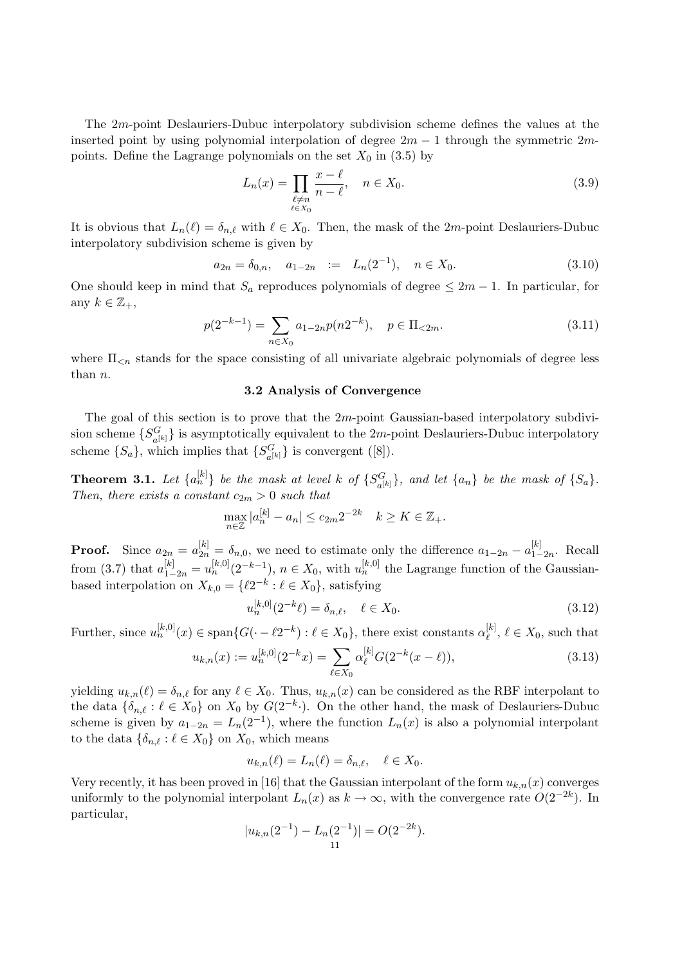The 2m-point Deslauriers-Dubuc interpolatory subdivision scheme defines the values at the inserted point by using polynomial interpolation of degree  $2m - 1$  through the symmetric  $2m$ points. Define the Lagrange polynomials on the set  $X_0$  in (3.5) by

$$
L_n(x) = \prod_{\substack{\ell \neq n \\ \ell \in X_0}} \frac{x - \ell}{n - \ell}, \quad n \in X_0.
$$
\n
$$
(3.9)
$$

It is obvious that  $L_n(\ell) = \delta_{n,\ell}$  with  $\ell \in X_0$ . Then, the mask of the 2m-point Deslauriers-Dubuc interpolatory subdivision scheme is given by

$$
a_{2n} = \delta_{0,n}, \quad a_{1-2n} := L_n(2^{-1}), \quad n \in X_0.
$$
\n(3.10)

One should keep in mind that  $S_a$  reproduces polynomials of degree  $\leq 2m - 1$ . In particular, for any  $k \in \mathbb{Z}_+,$ 

$$
p(2^{-k-1}) = \sum_{n \in X_0} a_{1-2n} p(n2^{-k}), \quad p \in \Pi_{\leq 2m}.
$$
 (3.11)

where  $\Pi_{\leq n}$  stands for the space consisting of all univariate algebraic polynomials of degree less than n.

## 3.2 Analysis of Convergence

The goal of this section is to prove that the 2m-point Gaussian-based interpolatory subdivision scheme  $\{S_{\text{S}}^G$  $\{G_{a^{[k]}}\}$  is asymptotically equivalent to the 2*m*-point Deslauriers-Dubuc interpolatory scheme  $\{S_a\}$ , which implies that  $\{S_a^G\}$  $G_{a^{[k]}}$ } is convergent ([8]).

**Theorem 3.1.** Let  $\{a_n^{[k]}\}\$  be the mask at level k of  $\{S_n^G\}$  $\{G_{a[k]}\}\$ , and let  $\{a_n\}$  be the mask of  $\{S_a\}\$ . Then, there exists a constant  $c_{2m} > 0$  such that

$$
\max_{n \in \mathbb{Z}} |a_n^{[k]} - a_n| \le c_{2m} 2^{-2k} \quad k \ge K \in \mathbb{Z}_+.
$$

**Proof.** Since  $a_{2n} = a_{2n}^{[k]} = \delta_{n,0}$ , we need to estimate only the difference  $a_{1-2n} - a_{1-2n}^{[k]}$  $_{1-2n}^{^{\lfloor K\rfloor}}$ . Recall from (3.7) that  $a_{1-2n}^{[k]} = u_n^{[k,0]}(2^{-k-1}), n \in X_0$ , with  $u_n^{[k,0]}$  the Lagrange function of the Gaussianbased interpolation on  $X_{k,0} = \{ \ell 2^{-k} : \ell \in X_0 \}$ , satisfying

$$
u_n^{[k,0]}(2^{-k}\ell) = \delta_{n,\ell}, \quad \ell \in X_0.
$$
\n(3.12)

Further, since  $u_n^{[k,0]}(x) \in \text{span}\{G(\cdot - \ell 2^{-k}) : \ell \in X_0\}$ , there exist constants  $\alpha_{\ell}^{[k]}$  $\ell^{[\kappa]}, \ell \in X_0$ , such that

$$
u_{k,n}(x) := u_n^{[k,0]}(2^{-k}x) = \sum_{\ell \in X_0} \alpha_{\ell}^{[k]} G(2^{-k}(x - \ell)),
$$
\n(3.13)

yielding  $u_{k,n}(\ell) = \delta_{n,\ell}$  for any  $\ell \in X_0$ . Thus,  $u_{k,n}(x)$  can be considered as the RBF interpolant to the data  $\{\delta_{n,\ell} : \ell \in X_0\}$  on  $X_0$  by  $G(2^{-k} \cdot)$ . On the other hand, the mask of Deslauriers-Dubuc scheme is given by  $a_{1-2n} = L_n(2^{-1})$ , where the function  $L_n(x)$  is also a polynomial interpolant to the data  $\{\delta_{n,\ell} : \ell \in X_0\}$  on  $X_0$ , which means

$$
u_{k,n}(\ell) = L_n(\ell) = \delta_{n,\ell}, \quad \ell \in X_0.
$$

Very recently, it has been proved in [16] that the Gaussian interpolant of the form  $u_{k,n}(x)$  converges uniformly to the polynomial interpolant  $L_n(x)$  as  $k \to \infty$ , with the convergence rate  $O(2^{-2k})$ . In particular,

$$
|u_{k,n}(2^{-1}) - L_n(2^{-1})| = O(2^{-2k}).
$$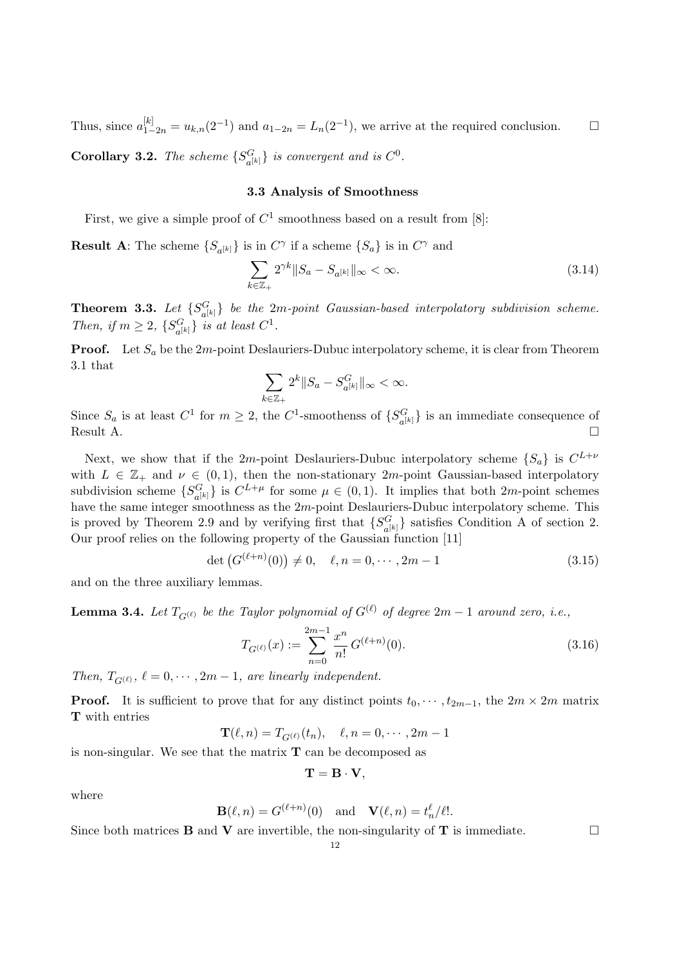Thus, since  $a_{1-2n}^{[k]} = u_{k,n}(2^{-1})$  and  $a_{1-2n} = L_n(2^{-1})$ , we arrive at the required conclusion.  $\Box$ 

**Corollary 3.2.** The scheme  $\{S^G_{\mathcal{A}}\}$  $\{G_{a^{[k]}}\}$  is convergent and is  $C^0$ .

## 3.3 Analysis of Smoothness

First, we give a simple proof of  $C^1$  smoothness based on a result from [8]:

**Result A**: The scheme  $\{S_{a^{[k]}}\}$  is in  $C^{\gamma}$  if a scheme  $\{S_a\}$  is in  $C^{\gamma}$  and

$$
\sum_{k \in \mathbb{Z}_+} 2^{\gamma k} \|S_a - S_{a^{[k]}}\|_{\infty} < \infty.
$$
\n(3.14)

Theorem 3.3. Let  $\{S_{sl}^G\}$  $\{G_{a^{[k]}}\}$  be the  $2m$ -point Gaussian-based interpolatory subdivision scheme. Then, if  $m \geq 2$ ,  $\{S_{\text{eff}}^G\}$  $_{a^{[k]}}^G$  is at least  $C^1$ .

**Proof.** Let  $S_a$  be the  $2m$ -point Deslauriers-Dubuc interpolatory scheme, it is clear from Theorem 3.1 that  $\overline{\phantom{a}}$ 

$$
\sum_{k\in\mathbb{Z}_+} 2^k \|S_a - S_{a^{[k]}}^G\|_{\infty} < \infty.
$$

Since  $S_a$  is at least  $C^1$  for  $m \geq 2$ , the  $C^1$ -smoothenss of  $\{S_a^G\}$  $\binom{G}{a^{[k]}}$  is an immediate consequence of Result A.  $\Box$ 

Next, we show that if the 2m-point Deslauriers-Dubuc interpolatory scheme  $\{S_a\}$  is  $C^{L+\nu}$ with  $L \in \mathbb{Z}_+$  and  $\nu \in (0,1)$ , then the non-stationary 2*m*-point Gaussian-based interpolatory subdivision scheme  $\{S_{sl}^G\}$  ${}_{a^{[k]}}^G$  is  $C^{L+\mu}$  for some  $\mu \in (0,1)$ . It implies that both  $2m$ -point schemes have the same integer smoothness as the 2m-point Deslauriers-Dubuc interpolatory scheme. This is proved by Theorem 2.9 and by verifying first that  $\{S^G_{\perp}\}$  ${G \choose a^{[k]}}$  satisfies Condition A of section 2. Our proof relies on the following property of the Gaussian function [11]

$$
\det (G^{(\ell+n)}(0)) \neq 0, \quad \ell, n = 0, \cdots, 2m - 1 \tag{3.15}
$$

and on the three auxiliary lemmas.

**Lemma 3.4.** Let  $T_{G^{(\ell)}}$  be the Taylor polynomial of  $G^{(\ell)}$  of degree 2m – 1 around zero, i.e.,

$$
T_{G^{(\ell)}}(x) := \sum_{n=0}^{2m-1} \frac{x^n}{n!} G^{(\ell+n)}(0). \tag{3.16}
$$

Then,  $T_{G^{(\ell)}}, \ell = 0, \cdots, 2m-1$ , are linearly independent.

**Proof.** It is sufficient to prove that for any distinct points  $t_0, \dots, t_{2m-1}$ , the  $2m \times 2m$  matrix T with entries

$$
\mathbf{T}(\ell,n) = T_{G^{(\ell)}}(t_n), \quad \ell, n = 0, \cdots, 2m-1
$$

is non-singular. We see that the matrix  $\mathbf T$  can be decomposed as

$$
\mathbf{T}=\mathbf{B}\cdot\mathbf{V},
$$

where

$$
\mathbf{B}(\ell,n) = G^{(\ell+n)}(0) \quad \text{and} \quad \mathbf{V}(\ell,n) = t_n^{\ell} / \ell!.
$$

Since both matrices **B** and **V** are invertible, the non-singularity of **T** is immediate.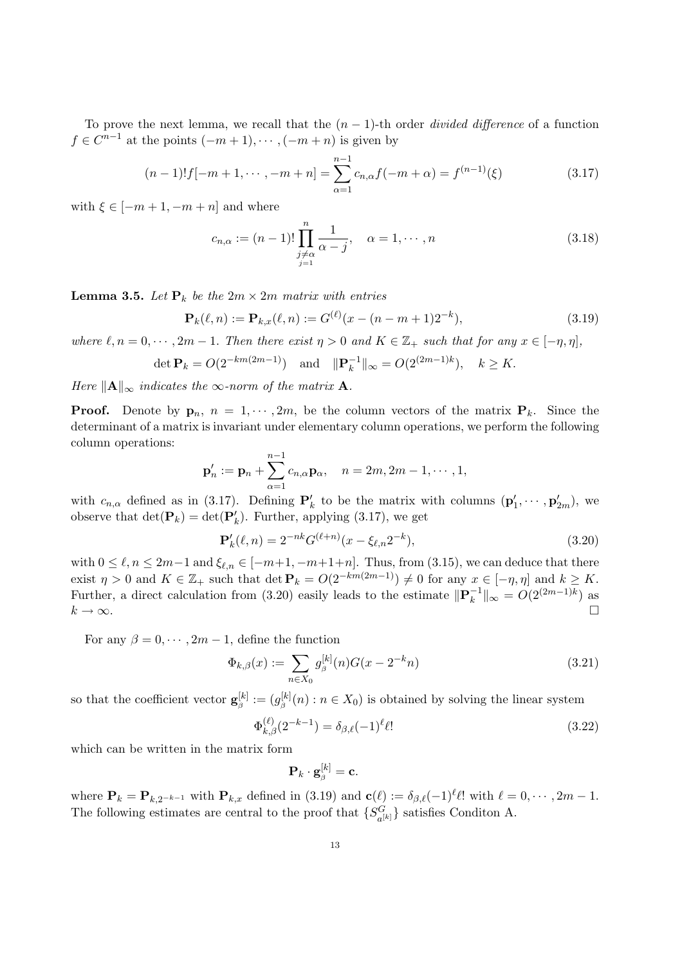To prove the next lemma, we recall that the  $(n-1)$ -th order *divided difference* of a function  $f \in C^{n-1}$  at the points  $(-m+1), \cdots, (-m+n)$  is given by

$$
(n-1)!f[-m+1,\cdots,-m+n] = \sum_{\alpha=1}^{n-1} c_{n,\alpha} f(-m+\alpha) = f^{(n-1)}(\xi)
$$
\n(3.17)

with  $\xi \in [-m+1, -m+n]$  and where

$$
c_{n,\alpha} := (n-1)! \prod_{\substack{j \neq \alpha \\ j=1}}^n \frac{1}{\alpha - j}, \quad \alpha = 1, \cdots, n
$$
 (3.18)

**Lemma 3.5.** Let  $P_k$  be the  $2m \times 2m$  matrix with entries

$$
\mathbf{P}_k(\ell, n) := \mathbf{P}_{k,x}(\ell, n) := G^{(\ell)}(x - (n - m + 1)2^{-k}),\tag{3.19}
$$

where  $\ell, n = 0, \dots, 2m - 1$ . Then there exist  $\eta > 0$  and  $K \in \mathbb{Z}_+$  such that for any  $x \in [-\eta, \eta]$ ,

$$
\det \mathbf{P}_k = O(2^{-km(2m-1)}) \quad \text{and} \quad \|\mathbf{P}_k^{-1}\|_{\infty} = O(2^{(2m-1)k}), \quad k \ge K.
$$

Here  $\|\mathbf{A}\|_{\infty}$  indicates the  $\infty$ -norm of the matrix **A**.

**Proof.** Denote by  $\mathbf{p}_n$ ,  $n = 1, \dots, 2m$ , be the column vectors of the matrix  $\mathbf{P}_k$ . Since the determinant of a matrix is invariant under elementary column operations, we perform the following column operations:

$$
\mathbf{p}'_n := \mathbf{p}_n + \sum_{\alpha=1}^{n-1} c_{n,\alpha} \mathbf{p}_\alpha, \quad n = 2m, 2m - 1, \cdots, 1,
$$

with  $c_{n,\alpha}$  defined as in (3.17). Defining  $\mathbf{P}'_k$  to be the matrix with columns  $(\mathbf{p}'_1, \cdots, \mathbf{p}'_{2m})$ , we observe that  $\det(\mathbf{P}_k) = \det(\mathbf{P}'_k)$ . Further, applying (3.17), we get

$$
\mathbf{P}'_k(\ell, n) = 2^{-nk} G^{(\ell+n)}(x - \xi_{\ell,n} 2^{-k}),\tag{3.20}
$$

with  $0 \leq \ell, n \leq 2m-1$  and  $\xi_{\ell,n} \in [-m+1, -m+1+n]$ . Thus, from (3.15), we can deduce that there exist  $\eta > 0$  and  $K \in \mathbb{Z}_+$  such that det  $\mathbf{P}_k = O(2^{-km(2m-1)}) \neq 0$  for any  $x \in [-\eta, \eta]$  and  $k \geq K$ . Further, a direct calculation from (3.20) easily leads to the estimate  $\|\mathbf{P}_{\mu}^{-1}\|$  $\binom{-1}{k}$ ||∞ =  $O(2^{(2m-1)k})$  as  $k \to \infty$ .

For any  $\beta = 0, \dots, 2m - 1$ , define the function

$$
\Phi_{k,\beta}(x) := \sum_{n \in X_0} g_{\beta}^{[k]}(n) G(x - 2^{-k}n) \tag{3.21}
$$

so that the coefficient vector  $\mathbf{g}_{\beta}^{[k]} := (g_{\beta}^{[k]}(n) : n \in X_0)$  is obtained by solving the linear system

$$
\Phi_{k,\beta}^{(\ell)}(2^{-k-1}) = \delta_{\beta,\ell}(-1)^{\ell} \ell! \tag{3.22}
$$

which can be written in the matrix form

$$
\mathbf{P}_k \cdot \mathbf{g}_{\beta}^{[k]} = \mathbf{c}.
$$

where  $\mathbf{P}_k = \mathbf{P}_{k,2^{-k-1}}$  with  $\mathbf{P}_{k,x}$  defined in (3.19) and  $\mathbf{c}(\ell) := \delta_{\beta,\ell}(-1)^{\ell} \ell!$  with  $\ell = 0, \cdots, 2m-1$ . The following estimates are central to the proof that  $\{S^G_{\mu\nu}\}$  ${G \choose a^{[k]}}$  satisfies Conditon A.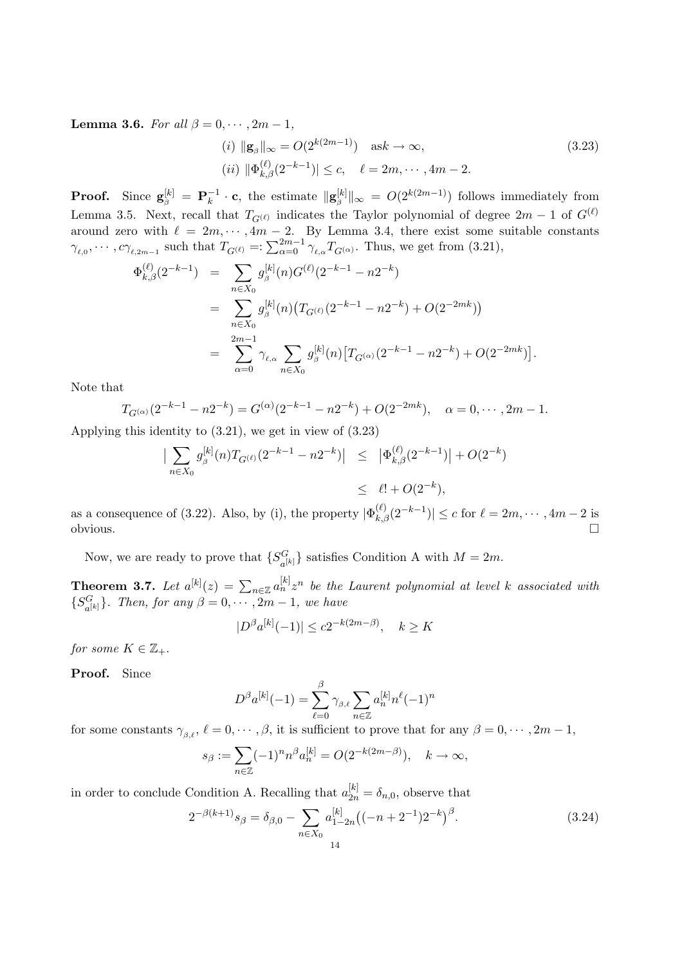Lemma 3.6. For all  $\beta = 0, \cdots, 2m - 1$ ,

$$
(i) \|g_{\beta}\|_{\infty} = O(2^{k(2m-1)}) \quad \text{ask} \to \infty,
$$
  
\n
$$
(ii) \| \Phi_{k,\beta}^{(\ell)}(2^{-k-1}) \| \le c, \quad \ell = 2m, \cdots, 4m - 2.
$$
\n
$$
(3.23)
$$

**Proof.** Since  $\mathbf{g}_{\beta}^{[k]} = \mathbf{P}_{k}^{-1}$  $\int_k^{-1} \cdot \mathbf{c}$ , the estimate  $\|\mathbf{g}_{\beta}^{[k]}\|_{\infty} = O(2^{k(2m-1)})$  follows immediately from Lemma 3.5. Next, recall that  $T_{G^{(\ell)}}$  indicates the Taylor polynomial of degree  $2m - 1$  of  $G^{(\ell)}$ around zero with  $\ell = 2m, \dots, 4m - 2$ . By Lemma 3.4, there exist some suitable constants around zero with  $\ell = 2m, \dots, 4m-2$ . By Lemma 3.4, there exist some s<br>  $\gamma_{\ell,0}, \dots, c\gamma_{\ell,2m-1}$  such that  $T_{G^{(\ell)}} =: \sum_{\alpha=0}^{2m-1} \gamma_{\ell,\alpha} T_{G^{(\alpha)}}$ . Thus, we get from (3.21),

$$
\Phi_{k,\beta}^{(\ell)}(2^{-k-1}) = \sum_{n \in X_0} g_{\beta}^{[k]}(n) G^{(\ell)}(2^{-k-1} - n2^{-k})
$$
  
\n
$$
= \sum_{n \in X_0} g_{\beta}^{[k]}(n) (T_{G^{(\ell)}}(2^{-k-1} - n2^{-k}) + O(2^{-2mk}))
$$
  
\n
$$
= \sum_{\alpha=0}^{2m-1} \gamma_{\ell,\alpha} \sum_{n \in X_0} g_{\beta}^{[k]}(n) [T_{G^{(\alpha)}}(2^{-k-1} - n2^{-k}) + O(2^{-2mk})].
$$

Note that

$$
T_{G^{(\alpha)}}(2^{-k-1} - n2^{-k}) = G^{(\alpha)}(2^{-k-1} - n2^{-k}) + O(2^{-2mk}), \quad \alpha = 0, \cdots, 2m - 1.
$$

Applying this identity to (3.21), we get in view of (3.23)

$$
\left| \sum_{n \in X_0} g_{\beta}^{[k]}(n) T_{G^{(\ell)}}(2^{-k-1} - n 2^{-k}) \right| \leq \left| \Phi_{k,\beta}^{(\ell)}(2^{-k-1}) \right| + O(2^{-k})
$$
  

$$
\leq \ell! + O(2^{-k}),
$$

as a consequence of (3.22). Also, by (i), the property  $|\Phi_{k,\beta}^{(\ell)}(2^{-k-1})| \leq c$  for  $\ell = 2m, \cdots, 4m-2$  is  $\Box$ obvious.  $\Box$ 

Now, we are ready to prove that  $\{S_{\text{off}}^G\}$  $G_{a^{[k]}}$ } satisfies Condition A with  $M = 2m$ .

**Theorem 3.7.** Let  $a^{[k]}(z) = \sum_{n \in \mathbb{Z}} a^{[k]}_n z^n$  be the Laurent polynomial at level k associated with  $\{S_{\circ}^G$  $_{a^{[k]}}^G$ . Then, for any  $\beta = 0, \cdots, 2m-1$ , we have

$$
|D^{\beta}a^{[k]}(-1)| \le c2^{-k(2m-\beta)}, \quad k \ge K
$$

for some  $K \in \mathbb{Z}_+$ .

Proof. Since

$$
D^{\beta}a^{[k]}(-1) = \sum_{\ell=0}^{\beta} \gamma_{\beta,\ell} \sum_{n \in \mathbb{Z}} a_n^{[k]} n^{\ell}(-1)^n
$$

for some constants  $\gamma_{\beta,\ell}$ ,  $\ell = 0, \cdots, \beta$ , it is sufficient to prove that for any  $\beta = 0, \cdots, 2m - 1$ ,

$$
s_{\beta} := \sum_{n \in \mathbb{Z}} (-1)^n n^{\beta} a_n^{[k]} = O(2^{-k(2m-\beta)}), \quad k \to \infty,
$$

in order to conclude Condition A. Recalling that  $a_{2n}^{[k]} = \delta_{n,0}$ , observe that

$$
2^{-\beta(k+1)}s_{\beta} = \delta_{\beta,0} - \sum_{n \in X_0} a_{1-2n}^{[k]} \left( (-n+2^{-1})2^{-k} \right)^{\beta}.
$$
 (3.24)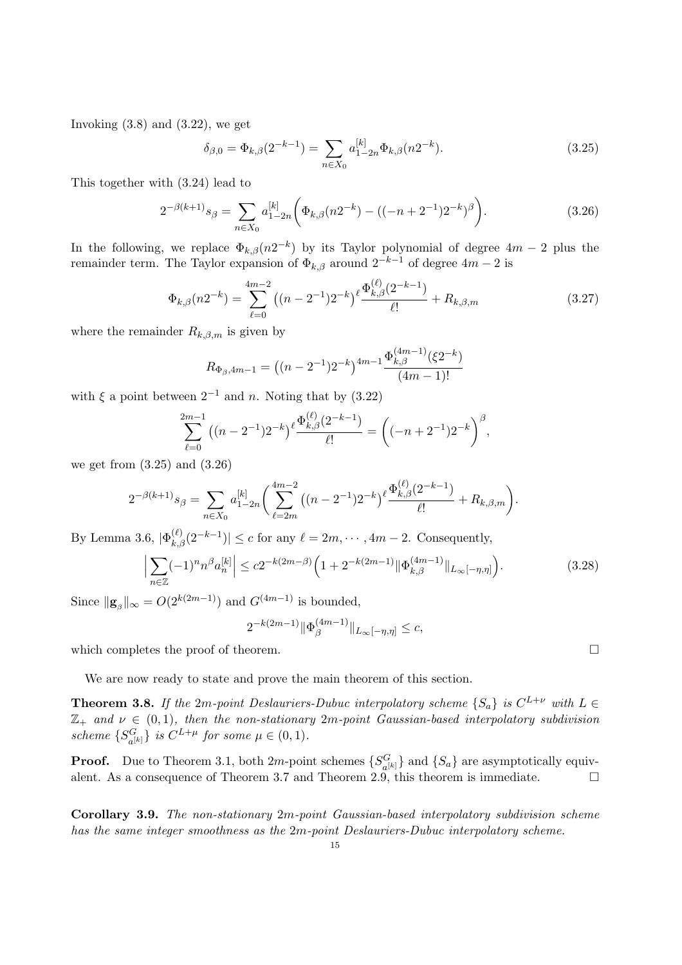Invoking  $(3.8)$  and  $(3.22)$ , we get

$$
\delta_{\beta,0} = \Phi_{k,\beta}(2^{-k-1}) = \sum_{n \in X_0} a_{1-2n}^{[k]} \Phi_{k,\beta}(n2^{-k}).
$$
\n(3.25)

This together with (3.24) lead to

$$
2^{-\beta(k+1)}s_{\beta} = \sum_{n \in X_0} a_{1-2n}^{[k]} \left( \Phi_{k,\beta}(n2^{-k}) - ((-n+2^{-1})2^{-k})^{\beta} \right).
$$
 (3.26)

In the following, we replace  $\Phi_{k,\beta}(n2^{-k})$  by its Taylor polynomial of degree  $4m-2$  plus the remainder term. The Taylor expansion of  $\Phi_{k,\beta}$  around  $2^{-k-1}$  of degree  $4m-2$  is

$$
\Phi_{k,\beta}(n2^{-k}) = \sum_{\ell=0}^{4m-2} \left( (n-2^{-1})2^{-k} \right)^{\ell} \frac{\Phi_{k,\beta}^{(\ell)}(2^{-k-1})}{\ell!} + R_{k,\beta,m} \tag{3.27}
$$

where the remainder  $R_{k,\beta,m}$  is given by

$$
R_{\Phi_{\beta},4m-1} = ((n-2^{-1})2^{-k})^{4m-1} \frac{\Phi_{k,\beta}^{(4m-1)}(\xi 2^{-k})}{(4m-1)!}
$$

with  $\xi$  a point between  $2^{-1}$  and n. Noting that by (3.22)

$$
\sum_{\ell=0}^{2m-1} ((n-2^{-1})2^{-k})^{\ell} \frac{\Phi_{k,\beta}^{(\ell)}(2^{-k-1})}{\ell!} = \left( (-n+2^{-1})2^{-k} \right)^{\beta},
$$

we get from (3.25) and (3.26)

$$
2^{-\beta(k+1)}s_{\beta} = \sum_{n \in X_0} a_{1-2n}^{[k]} \left( \sum_{\ell=2m}^{4m-2} \left( (n-2^{-1})2^{-k} \right)^{\ell} \frac{\Phi_{k,\beta}^{(\ell)}(2^{-k-1})}{\ell!} + R_{k,\beta,m} \right).
$$

By Lemma 3.6,  $|\Phi_{k,\beta}^{(\ell)}(2^{-k-1})| \leq c$  for any  $\ell = 2m, \cdots, 4m-2$ . Consequently,

$$
\left| \sum_{n \in \mathbb{Z}} (-1)^n n^{\beta} a_n^{[k]} \right| \le c 2^{-k(2m-\beta)} \left( 1 + 2^{-k(2m-1)} \|\Phi_{k,\beta}^{(4m-1)}\|_{L_\infty[-\eta,\eta]} \right).
$$
 (3.28)

Since  $\|\mathbf{g}_{\beta}\|_{\infty} = O(2^{k(2m-1)})$  and  $G^{(4m-1)}$  is bounded,

$$
2^{-k(2m-1)} \|\Phi_{\beta}^{(4m-1)}\|_{L_{\infty}[-\eta,\eta]} \leq c,
$$

which completes the proof of theorem.  $\Box$ 

We are now ready to state and prove the main theorem of this section.

**Theorem 3.8.** If the 2m-point Deslauriers-Dubuc interpolatory scheme  $\{S_a\}$  is  $C^{L+\nu}$  with  $L \in$  $\mathbb{Z}_+$  and  $\nu \in (0,1)$ , then the non-stationary  $2m$ -point Gaussian-based interpolatory subdivision scheme  $\{S_{sl}^G\}$  $\{G_{a^{[k]}}\}$  is  $C^{L+\mu}$  for some  $\mu \in (0,1)$ .

**Proof.** Due to Theorem 3.1, both 2*m*-point schemes  $\{S_{s}^{G}$  ${G \choose a^{[k]}}$  and  ${S_a}$  are asymptotically equivalent. As a consequence of Theorem 3.7 and Theorem 2.9, this theorem is immediate.  $\Box$ 

Corollary 3.9. The non-stationary 2m-point Gaussian-based interpolatory subdivision scheme has the same integer smoothness as the 2m-point Deslauriers-Dubuc interpolatory scheme.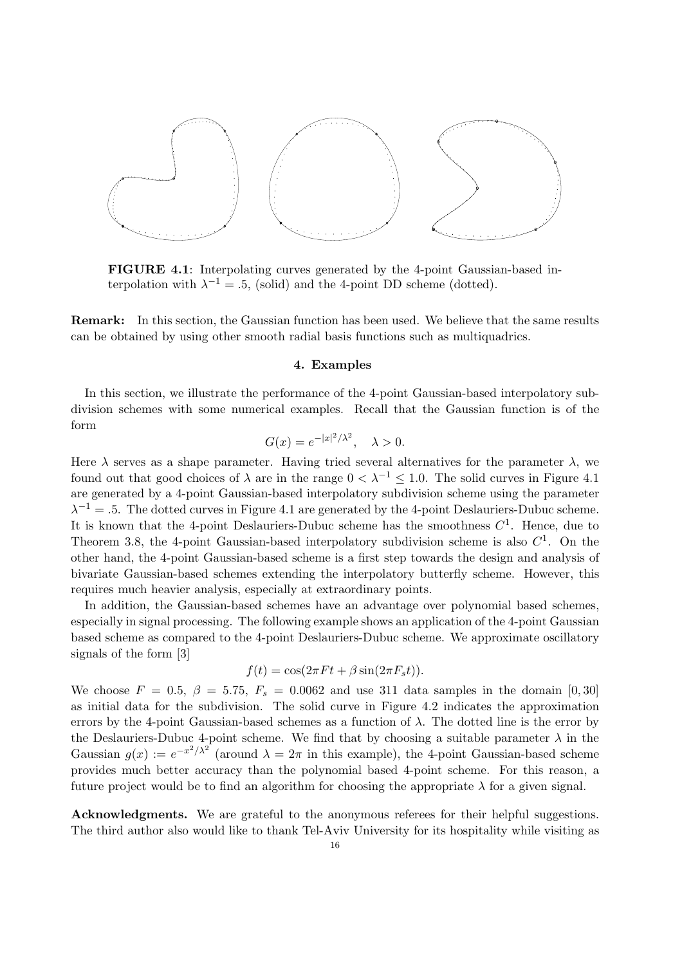

FIGURE 4.1: Interpolating curves generated by the 4-point Gaussian-based interpolation with  $\lambda^{-1} = .5$ , (solid) and the 4-point DD scheme (dotted).

Remark: In this section, the Gaussian function has been used. We believe that the same results can be obtained by using other smooth radial basis functions such as multiquadrics.

#### 4. Examples

In this section, we illustrate the performance of the 4-point Gaussian-based interpolatory subdivision schemes with some numerical examples. Recall that the Gaussian function is of the form

$$
G(x) = e^{-|x|^2/\lambda^2}, \quad \lambda > 0.
$$

Here  $\lambda$  serves as a shape parameter. Having tried several alternatives for the parameter  $\lambda$ , we found out that good choices of  $\lambda$  are in the range  $0 < \lambda^{-1} \leq 1.0$ . The solid curves in Figure 4.1 are generated by a 4-point Gaussian-based interpolatory subdivision scheme using the parameter  $\lambda^{-1} = .5$ . The dotted curves in Figure 4.1 are generated by the 4-point Deslauriers-Dubuc scheme. It is known that the 4-point Deslauriers-Dubuc scheme has the smoothness  $C^1$ . Hence, due to Theorem 3.8, the 4-point Gaussian-based interpolatory subdivision scheme is also  $C<sup>1</sup>$ . On the other hand, the 4-point Gaussian-based scheme is a first step towards the design and analysis of bivariate Gaussian-based schemes extending the interpolatory butterfly scheme. However, this requires much heavier analysis, especially at extraordinary points.

In addition, the Gaussian-based schemes have an advantage over polynomial based schemes, especially in signal processing. The following example shows an application of the 4-point Gaussian based scheme as compared to the 4-point Deslauriers-Dubuc scheme. We approximate oscillatory signals of the form [3]

$$
f(t) = \cos(2\pi Ft + \beta \sin(2\pi F_s t)).
$$

We choose  $F = 0.5$ ,  $\beta = 5.75$ ,  $F_s = 0.0062$  and use 311 data samples in the domain [0,30] as initial data for the subdivision. The solid curve in Figure 4.2 indicates the approximation errors by the 4-point Gaussian-based schemes as a function of  $\lambda$ . The dotted line is the error by the Deslauriers-Dubuc 4-point scheme. We find that by choosing a suitable parameter  $\lambda$  in the Gaussian  $g(x) := e^{-x^2/\lambda^2}$  (around  $\lambda = 2\pi$  in this example), the 4-point Gaussian-based scheme provides much better accuracy than the polynomial based 4-point scheme. For this reason, a future project would be to find an algorithm for choosing the appropriate  $\lambda$  for a given signal.

Acknowledgments. We are grateful to the anonymous referees for their helpful suggestions. The third author also would like to thank Tel-Aviv University for its hospitality while visiting as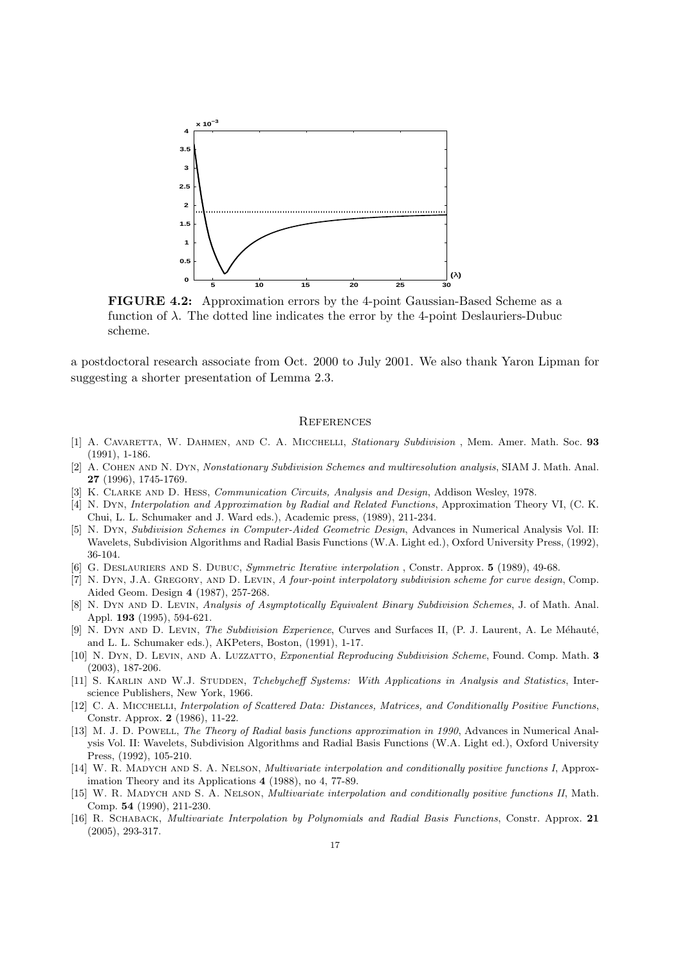

FIGURE 4.2: Approximation errors by the 4-point Gaussian-Based Scheme as a function of  $\lambda$ . The dotted line indicates the error by the 4-point Deslauriers-Dubuc scheme.

a postdoctoral research associate from Oct. 2000 to July 2001. We also thank Yaron Lipman for suggesting a shorter presentation of Lemma 2.3.

#### **REFERENCES**

- [1] A. CAVARETTA, W. DAHMEN, AND C. A. MICCHELLI, Stationary Subdivision, Mem. Amer. Math. Soc. 93 (1991), 1-186.
- [2] A. Cohen and N. Dyn, Nonstationary Subdivision Schemes and multiresolution analysis, SIAM J. Math. Anal. 27 (1996), 1745-1769.
- [3] K. CLARKE AND D. HESS, *Communication Circuits, Analysis and Design*, Addison Wesley, 1978.
- [4] N. Dyn, Interpolation and Approximation by Radial and Related Functions, Approximation Theory VI, (C. K. Chui, L. L. Schumaker and J. Ward eds.), Academic press, (1989), 211-234.
- [5] N. Dyn, Subdivision Schemes in Computer-Aided Geometric Design, Advances in Numerical Analysis Vol. II: Wavelets, Subdivision Algorithms and Radial Basis Functions (W.A. Light ed.), Oxford University Press, (1992), 36-104.
- [6] G. DESLAURIERS AND S. DUBUC, Symmetric Iterative interpolation, Constr. Approx. 5 (1989), 49-68.
- [7] N. Dyn, J.A. Gregory, and D. Levin, A four-point interpolatory subdivision scheme for curve design, Comp. Aided Geom. Design 4 (1987), 257-268.
- [8] N. Dyn and D. Levin, Analysis of Asymptotically Equivalent Binary Subdivision Schemes, J. of Math. Anal. Appl. 193 (1995), 594-621.
- [9] N. DYN AND D. LEVIN, *The Subdivision Experience*, Curves and Surfaces II, (P. J. Laurent, A. Le Méhauté, and L. L. Schumaker eds.), AKPeters, Boston, (1991), 1-17.
- [10] N. DYN, D. LEVIN, AND A. LUZZATTO, Exponential Reproducing Subdivision Scheme, Found. Comp. Math. 3 (2003), 187-206.
- [11] S. KARLIN AND W.J. STUDDEN, Tchebycheff Systems: With Applications in Analysis and Statistics, Interscience Publishers, New York, 1966.
- [12] C. A. Micchelli, Interpolation of Scattered Data: Distances, Matrices, and Conditionally Positive Functions, Constr. Approx. 2 (1986), 11-22.
- [13] M. J. D. POWELL, The Theory of Radial basis functions approximation in 1990, Advances in Numerical Analysis Vol. II: Wavelets, Subdivision Algorithms and Radial Basis Functions (W.A. Light ed.), Oxford University Press, (1992), 105-210.
- [14] W. R. MADYCH AND S. A. NELSON, *Multivariate interpolation and conditionally positive functions I*, Approximation Theory and its Applications 4 (1988), no 4, 77-89.
- [15] W. R. MADYCH AND S. A. NELSON, *Multivariate interpolation and conditionally positive functions II*, Math. Comp. 54 (1990), 211-230.
- [16] R. Schaback, Multivariate Interpolation by Polynomials and Radial Basis Functions, Constr. Approx. 21 (2005), 293-317.